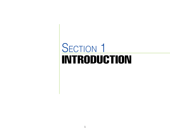# INTRODUCTION SECTION 1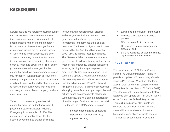Natural hazards are naturally occurring events, such as wildfires, floods and earthquakes that can impact humans. When a natural hazard impacts human life and property, it is considered a disaster. Damages from a disaster can range from no impacts to loss of lives, homes and businesses, and other assets a community determines important to their sustained well-being (e.g., hospitals, schools, roads and power lines). The Federal government has acknowledged the risk natural hazards have on our communities and that mitigation—actions taken to reduce the severity of impacts from a natural hazard—can significantly improve the ability of communities to rebound from such events with less loss and injury to human life and property, and at a much lower cost.

To help communities mitigate their risk to natural hazards, the Federal government passed the Stafford Disaster Relief and Emergency Assistance Act of 1988. The act provided the legal authority for the Federal government to provide assistance to states during declared major disaster and emergencies. Included in the act was grant funding for affected governments to implement long-term hazard mitigation measures. The hazard mitigation section was amended by the Disaster Mitigation Act of 2000 (DMA) to include local governments. The DMA established requirements for local governments to follow to be eligible for certain types of non-emergency disaster assistance, including funding for mitigation projects. In order to be eligible, local communities must submit and update a local hazard mitigation plan every 5 years also referred to as a predisaster mitigation plan (PDMP) or hazard mitigation plan. PDMPs provide a process for identifying cost-effective mitigation policies and actions based on assessments of hazards, vulnerabilities, and risk, and the participation of a wide range of stakeholders and the public. By adopting the PDMP communities can:

- Increase understanding of hazards;
- Support risk reduction activities;
- Improve resiliency;
- Eliminates the impact of future events;
- Provides a long-term solution to a problem;
- Offers a cost-effective solution;
- Help avoid repetitive damages from disasters; and
- Build relationships between residents, organization and businesses.

## PLAN PURPOSE

The purpose of the 2021 Tooele County Region Pre-Disaster Mitigation Plan is to provide an update to Tooele County (Tooele County) Pre-Disaster Mitigation Plan from 2016 in order to remain in compliance with FEMA Regulations (Section 322 of the DMA). The planning activities will result in a FEMA approved plan update per Part 201 of Title 44 of the Code of the Federal Regulations. This multi-jurisdictional plan update will evaluate the potential impacts, risks and vulnerabilities associated with natural hazards for jurisdictions in Tooele County. The plan will support, identify, describe,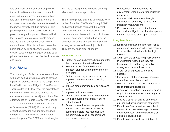and document potential mitigation projects for municipalities and the unincorporated areas in the county. The suggested actions and plan implementation contained in this document are for local governments to reduce the impact severity of future disasters. This plan will promote sound public policies and projects designed to protect citizens, critical facilities and infrastructure, private property and the natural environment from future natural hazard. This plan will encourage the participation by jurisdictions, the public, tribal groups, state and federal agencies and other private institutions to collect feedback, educate and inform.

## Plan Goals

The overall goal of this plan was to coordinate with each participating jurisdiction to develop a planning process that fulfills the components identified in the Local Mitigation Plan Review Tool provided by FEMA, meet the expectations set by the State of Utah, and address the concerns and needs of local jurisdictions. The effort was led by Tooele County with technical assistance from the Bear River Association of Governments (BRAG). Future monitoring, evaluating, updating and implementing will take place as new incidents occur and/or every five years. The PDMP and its strategies

will also be incorporated into local planning efforts and plans as appropriate.

The following short- and long-term goals were revised from the 2016 Tooele County PDMP and agreed upon to represent the current and future needs of all municipalities and Native American Reservation lands in Tooele County. These goals form the basis for the development of this plan and the mitigation strategies developed by each jurisdiction. They are shown in order of priority.

#### **Short Term Goals:**

- 1. Protect human life before, during and after the occurrence of a natural hazard;
- 2. Prevent loss of life and reduce the impact of damage where they cannot be eliminated;
- 3. Protect emergency response capabilities;
- 4. Improve communication and warning systems;
- 5. Improve emergency medical services and facilities;
- 6. Improve mobile resources;
- Protect critical facilities and infrastructure;
- 8. Maintain government continuity during natural hazards;
- 9. Protect homes, businesses, property, industry, and educational facilities by combining hazard loss reduction with the community's social, economic and environmental needs;
- 10. Protect natural resources and the environment when determining mitigation measures;
- 11. Promote public awareness through education of community hazards and mitigation measures; and
- 12. Preserve and/or restore natural features that provide mitigation, such as floodplains, riparian areas and other open spaces.

#### **Long Term Goals:**

- 13. Eliminate or reduce the long-term risk to current and future human life and property from identified natural and technologic hazards;
- 14. Aid in both the private and public sectors in understanding the risks they may be exposed to and finding mitigation strategies to reduce those risks;
- 15. Avoid risk of exposure to identified hazards;
- 16. Minimization of the impacts of those risks when they cannot be avoided;
- 17. Mitigation of the impacts of damage as a result of identified hazards;
- 18. Accomplish mitigation strategies in such a way that negative environmental impacts are minimized;
- 19. Provide a basis for funding of projects outlined as hazard mitigation strategies;
- 20. Establish a County platform to enable the community to take advantage of shared goals, resources, and the availability of outside resources; and
- 21. Establish a framework and database for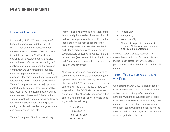# Planning Process

In the spring of 2020 Tooele County staff began the process of updating their 2016 PDMP. They contracted assistance from the Bear River Association of Governments to update the existing PDMP, including gathering all necessary data, GIS layers, natural hazard information, performing GIS analysis, documenting natural hazards per community and unincorporated counties, determining potential losses, documenting mitigation strategies, and other plan elements according to FEMA Region 8 requirements. Tooele County served as the major point of contact and liaison to all local municipalities and local Native American tribes, scheduled meetings, coordinated with BRAG staff and various stakeholder groups, prepared facilities, assisted in gathering data, and helped in getting the plan adopted by local governments and special service districts.

Tooele County and BRAG worked closely

together along with various local, tribal, state, federal and private stakeholders and the public to develop the plan over the next 18 months (see Figure on the next page). Meetings and surveys were used to collect feedback and inform participants and natural hazard specialist were consulted throughout the plan development (see Section 2. Planning Process and Participation for a complete review of how the plan was developed).

All municipalities, tribes and unincorporated communities were invited to participate (see Appendix B for detailed meeting invite and attendance lists). Tribal groups elected not to participate in the plan. This could have been largely due to the COVID-19 pandemic and associated risks. All jurisdictions which either participated in the plan, or were invited to do so, include the following:

- **Tooele County**
- **Grantsville City**
- **Rush Valley City**
- **Stockton City**
- Tooele City
- **Vernon City**
- **Wendover City**
- Other unincorporated communities, including Native American tribes, were also invited to particpatate.

Likewise, outside states, counties, and regional Associations of Governments were invited to participate in the the process, particularly to review the draft plan and provide comments.

# Local Review and Adoption of the Plan

On September 17th, 2021, a draft of Tooele County PDMP was put on the Tooele County website, located at https://tcem.org/ and a hard copy was made available at the Tooele County office for viewing. After a 30-day public comment period, feedback from communities, the public, county working groups, as well as the Utah Division of Emergency Management were integrated into the plan.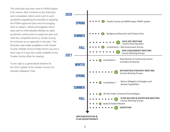The draft plan was then sent to FEMA Region 8 for review. After revisions to the draft plan were completed, letters were sent to each jurisdiction explaining the benefits of adopting the FEMA-approved plan and encouraging them to adopt it. Blank promulgation forms were sent to chief elected officials for each jurisdiction asking them to adopt the plan and send the completed forms to Tooele County for inclusion as an appendix in the plan. The final plan was made available on the Tooele County website found at https://tcem.org and a hard copy of it was also made available at the Tooele County office for viewing.

To the right is a generalized timeline for the 2021 update of the Tooele County Pre-Disaster Mitigation Plan.



5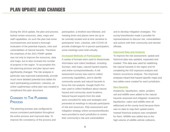During the 2016 update, the plan and process lacked certain resources, data, maps and staff capabilities. As such the plan had some inconsistencies and lacked a thorough evaluation of the potential impacts, risks and vulnerabilities of natural hazards. Therefore the emphasis of the 2021 PDMP update was not only to improve the resources, data and maps, but to also increase the number of projects in the region. To accomplish this the planning process and plan layout were significantly changed. The risk analysis in particular was improved substantially, provide much more detailed potential loss tables for each participating jurisdiction. Likewise, an online suplimentary online plan was created to compliment this plan document.

# Changes to The Planning **PROCESS**

The planning process was configured to ensure consistent participation throughout the entire process and improved data. To improve the consistency of the process and participation, a timeline was followed, and meeting times and places were set up to be centrally located and at time sensitive to participants' lives. Likewise, with COVID-19 provide challenges for in-person participation, some meetings were held virtually.

#### **Increased Methods of Participation**

A variety of formats were used to disseminate information and collect feedback, including: Surveys, web maps, natural hazard experts, and online surveys/workbooks. A risk assessment survey was used to collect community capabilities, and to identify community assets and natural hazards to focus the risk analysis. Google Earth Pro was used to collect feedback about natural hazard and community asset locations. Natural hazard experts from the state were consulted for data and strategies and presented at meetings to educate participants of risk and resources. Risk assessment and mitigation strategy online surveys/workbooks were provided to each jurisdiction to review their community's risk and vulnerabilities

and to develop mitigation strategies. The survey's/workbooks made it possible for representatives to discuss risk, vulnerabilities and actions with their community and elected officials.

#### **Improved Data and Analysis**

To improve the risk assessment, spatial and historical data was updated, expanded and created. This data was used for redefining the natural hazards in the region and for completing the GIS exposure analysis and historic occurrence analysis. The improved analyses meant that hazard specific maps and loss tables were created for each jurisdiction.

#### **New Hazards**

Avalanche, liquefaction, radon, problem soil and wildlife were added to the natural hazards assessed and mitigated. Avalanche, liquefaction, radon and wildlife were all addressed at the county level because there was no data to map their spatial extent. Instead historical analysis was completed for them. Wildlife was added due to the high volume of wildlife-vehicle collisions.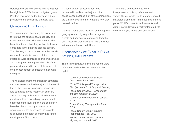Participants were notified that wildlife was not be eligible for FEMA hazard mitigation grants. Problem soils were added because of their prevalence and availability of spatial data.

## Changes to Plan Layout

The primary goal of updating the layout was to improve the consistency, readability and usability of the plan. This was accomplished by putting the methodology or how tasks were completed in the planning process section. The planning process section included details on how the analysis was completed, how strategies were prioritized and who was invited and participated in the plan. The bulk of the plan was then used to present the results of the risk assessment and updated mitigation strategies.

The risk assessment and mitigation strategies sections were combined so a jurisdiction could find all their risk, vulnerabilities, capabilities and strategies in one location. In addition, a risk summary table was provided for each jurisdiction that provided a quick and simple snapshot of the level of risk in the community based on the probability a natural hazard would occur in the future, and the impacts to population, property, economy and future development if it did occur.

A County capability assessment was developed in addition to the jurisdiction specific ones because a lot of the communities are similarly positioned on what and how they can reduce loss.

General County data, including demographics, geographic and physiographic background, climate and geology were removed from the plan. Pieces of that information were included in the natural hazard definitions.

# Incorporation of Existing Plans, STUDIES, AND REPORTS

The following plans, studies and reports were referenced and studied as part of the plan update.

- **Tooele County Human Services** Coordinated Plan, 2016
- 2019-2050 Regional Transportation Plan (Wasatch Front Regional Council)
- **Tooele County Active Transportation** Implementation Plan, 2018
- Tooele County General Plan Update, 2016
- Tooele County Transportation Plan, 2015
- Tooele County; County Wildfire Preparedness Plan, 2018
- Wildlife Connectivity Across Utah's Highways - Updated, 2017

These plans and documents were incorporated mostly by reference, and Tooele County would like to integrate hazard mitigation elements in future updates of these plans. Wildlife connectivity documents and data in particular were directly integrated into the risk analysis for variuos jurisdictions.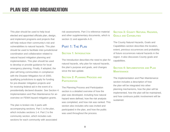This plan should be used to help local elected and appointed officials plan, design, and implement programs and projects that will help reduce their community's risk and vulnerabilities to natural hazards. This plan should be used to facilitate inter-jurisdictional coordination and collaboration related to natural hazard mitigation planning and implementation. This plan should be used to develop or provide guidance for local emergency planning. Finally, if adopted, the plan will bring communities in compliance with the Disaster Mitigation Act of 2000, qualifying jurisdictions to apply for funding for pre-disaster mitigation projects and for receiving federal aid in the event of a presidentially declared disaster. See Section 4: Implementation and Plan Maintenance for an overview on FEMA hazard mitigation grants.

The plan is broken into 3 parts with accompanying sections. Part 1 is the plan, which includes sections 1-4. Part 2 is the community section, which includes subsections for each community with associated

risk assessments. Part 3 is reference material and other supplementary documents, which is section 11 and appendix A-D.

# PART 1: THE PLAN

#### **SECTION 1: INTRODUCTION**

The Introduction describes the need to plan for natural hazards, why plan for natural hazards, the plan's purpose and goals, and changes since the last update.

#### **Section 2: Planning Process and Participation**

The Planning Process and Participation section is a detailed overview of how the plan was developed, including how natural hazard were defined, how the risk analysis was completed, and how risk was ranked. This section also includes who was invited and participated in the plan, and how the public was used throughout the process.

### **Section 3: County Natural Hazards, Goals and Capabilities**

The County Natural Hazards, Goals and Capabilities section describes the location, extent, previous occurrences and probability of future occurrences natural hazards in the region. It also discusses County goals and capabilities.

#### **Section 4: Implementation and Plan MAINTENANCE**

The Implementation and Plan Maintenance section includes a description of how the plan will be integrated into other planning mechanisms, how the plan will be implemented, how the plan will be maintained, and how continuos public involvement will be sustained.